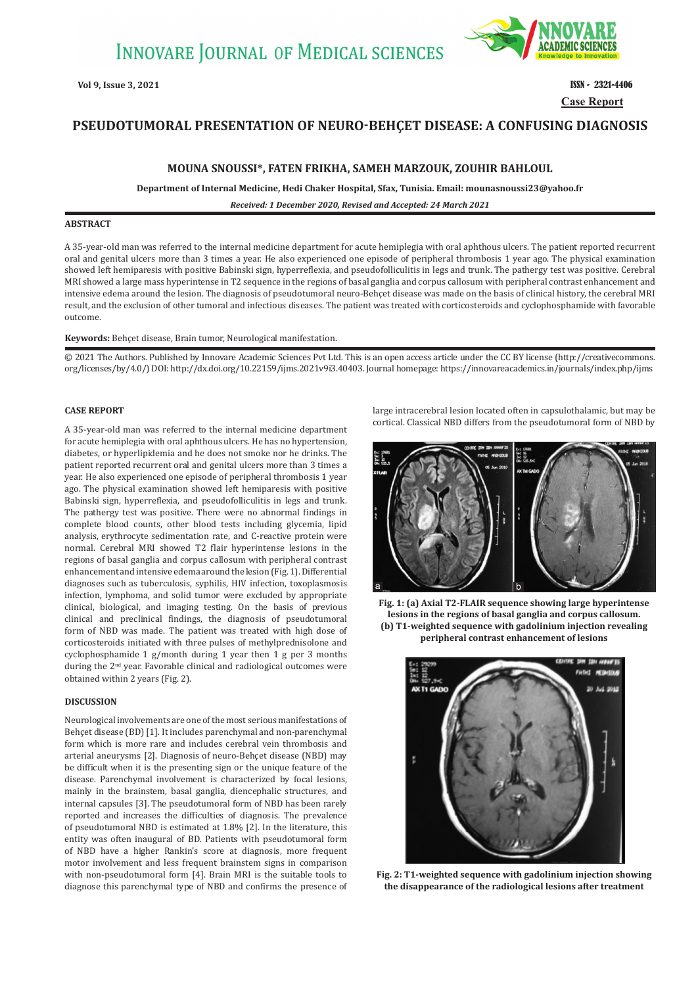

**Case Report**

# **PSEUDOTUMORAL PRESENTATION OF NEURO-BEHÇET DISEASE: A CONFUSING DIAGNOSIS**

### **MOUNA SNOUSSI\*, FATEN FRIKHA, SAMEH MARZOUK, ZOUHIR BAHLOUL**

**Department of Internal Medicine, Hedi Chaker Hospital, Sfax, Tunisia. Email: mounasnoussi23@yahoo.fr**

*Received: 1 December 2020, Revised and Accepted: 24 March 2021*

## **ABSTRACT**

A 35-year-old man was referred to the internal medicine department for acute hemiplegia with oral aphthous ulcers. The patient reported recurrent oral and genital ulcers more than 3 times a year. He also experienced one episode of peripheral thrombosis 1 year ago. The physical examination showed left hemiparesis with positive Babinski sign, hyperreflexia, and pseudofolliculitis in legs and trunk. The pathergy test was positive. Cerebral MRI showed a large mass hyperintense in T2 sequence in the regions of basal ganglia and corpus callosum with peripheral contrast enhancement and intensive edema around the lesion. The diagnosis of pseudotumoral neuro-Behçet disease was made on the basis of clinical history, the cerebral MRI result, and the exclusion of other tumoral and infectious diseases. The patient was treated with corticosteroids and cyclophosphamide with favorable outcome.

#### **Keywords:** Behçet disease, Brain tumor, Neurological manifestation.

© 2021 The Authors. Published by Innovare Academic Sciences Pvt Ltd. This is an open access article under the CC BY license (http://creativecommons. org/licenses/by/4.0/) DOI: http://dx.doi.org/10.22159/ijms.2021v9i3.40403. Journal homepage: https://innovareacademics.in/journals/index.php/ijms

#### **CASE REPORT**

A 35-year-old man was referred to the internal medicine department for acute hemiplegia with oral aphthous ulcers. He has no hypertension, diabetes, or hyperlipidemia and he does not smoke nor he drinks. The patient reported recurrent oral and genital ulcers more than 3 times a year. He also experienced one episode of peripheral thrombosis 1 year ago. The physical examination showed left hemiparesis with positive Babinski sign, hyperreflexia, and pseudofolliculitis in legs and trunk. The pathergy test was positive. There were no abnormal findings in complete blood counts, other blood tests including glycemia, lipid analysis, erythrocyte sedimentation rate, and C-reactive protein were normal. Cerebral MRI showed T2 flair hyperintense lesions in the regions of basal ganglia and corpus callosum with peripheral contrast enhancement and intensive edema around the lesion (Fig.1). Differential diagnoses such as tuberculosis, syphilis, HIV infection, toxoplasmosis infection, lymphoma, and solid tumor were excluded by appropriate clinical, biological, and imaging testing. On the basis of previous clinical and preclinical findings, the diagnosis of pseudotumoral form of NBD was made. The patient was treated with high dose of corticosteroids initiated with three pulses of methylprednisolone and cyclophosphamide 1 g/month during 1 year then 1 g per 3 months during the 2<sup>nd</sup> year. Favorable clinical and radiological outcomes were obtained within 2 years (Fig. 2).

#### **DISCUSSION**

Neurological involvements are one of the most serious manifestations of Behçet disease (BD) [1]. It includes parenchymal and non-parenchymal form which is more rare and includes cerebral vein thrombosis and arterial aneurysms [2]. Diagnosis of neuro-Behçet disease (NBD) may be difficult when it is the presenting sign or the unique feature of the disease. Parenchymal involvement is characterized by focal lesions, mainly in the brainstem, basal ganglia, diencephalic structures, and internal capsules [3]. The pseudotumoral form of NBD has been rarely reported and increases the difficulties of diagnosis. The prevalence of pseudotumoral NBD is estimated at 1.8% [2]. In the literature, this entity was often inaugural of BD. Patients with pseudotumoral form of NBD have a higher Rankin's score at diagnosis, more frequent motor involvement and less frequent brainstem signs in comparison with non-pseudotumoral form [4]. Brain MRI is the suitable tools to diagnose this parenchymal type of NBD and confirms the presence of large intracerebral lesion located often in capsulothalamic, but may be cortical. Classical NBD differs from the pseudotumoral form of NBD by



**Fig. 1: (a) Axial T2-FLAIR sequence showing large hyperintense lesions in the regions of basal ganglia and corpus callosum. (b) T1-weighted sequence with gadolinium injection revealing peripheral contrast enhancement of lesions**



**Fig. 2: T1-weighted sequence with gadolinium injection showing the disappearance of the radiological lesions after treatment**